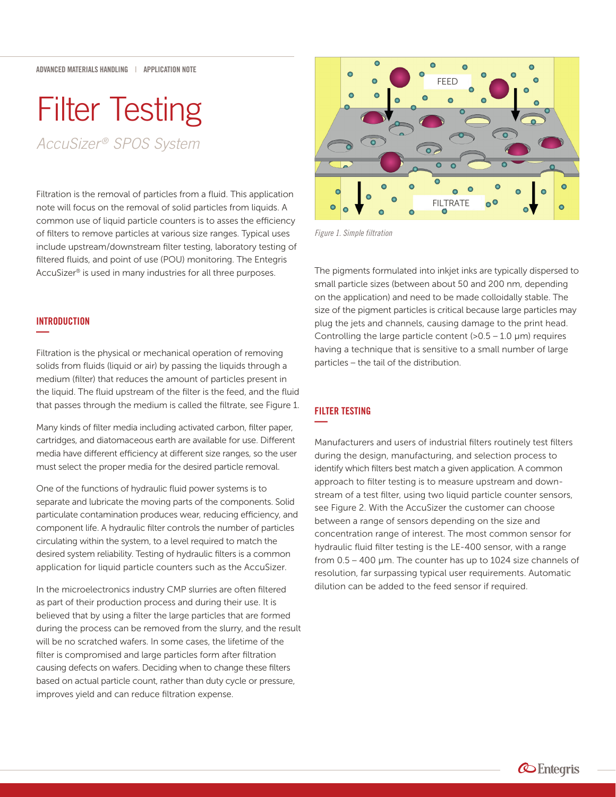# Filter Testing

*AccuSizer ® SPOS System*

Filtration is the removal of particles from a fluid. This application note will focus on the removal of solid particles from liquids. A common use of liquid particle counters is to asses the efficiency of filters to remove particles at various size ranges. Typical uses include upstream/downstream filter testing, laboratory testing of filtered fluids, and point of use (POU) monitoring. The Entegris AccuSizer® is used in many industries for all three purposes.

# INTRODUCTION **—**

Filtration is the physical or mechanical operation of removing solids from fluids (liquid or air) by passing the liquids through a medium (filter) that reduces the amount of particles present in the liquid. The fluid upstream of the filter is the feed, and the fluid that passes through the medium is called the filtrate, see Figure 1.

Many kinds of filter media including activated carbon, filter paper, cartridges, and diatomaceous earth are available for use. Different media have different efficiency at different size ranges, so the user must select the proper media for the desired particle removal.

One of the functions of hydraulic fluid power systems is to separate and lubricate the moving parts of the components. Solid particulate contamination produces wear, reducing efficiency, and component life. A hydraulic filter controls the number of particles circulating within the system, to a level required to match the desired system reliability. Testing of hydraulic filters is a common application for liquid particle counters such as the AccuSizer.

In the microelectronics industry CMP slurries are often filtered as part of their production process and during their use. It is believed that by using a filter the large particles that are formed during the process can be removed from the slurry, and the result will be no scratched wafers. In some cases, the lifetime of the filter is compromised and large particles form after filtration causing defects on wafers. Deciding when to change these filters based on actual particle count, rather than duty cycle or pressure, improves yield and can reduce filtration expense.



*Figure 1. Simple filtration*

The pigments formulated into inkjet inks are typically dispersed to small particle sizes (between about 50 and 200 nm, depending on the application) and need to be made colloidally stable. The size of the pigment particles is critical because large particles may plug the jets and channels, causing damage to the print head. Controlling the large particle content ( $>0.5 - 1.0 \mu m$ ) requires having a technique that is sensitive to a small number of large particles – the tail of the distribution.

# FILTER TESTING **—**

Manufacturers and users of industrial filters routinely test filters during the design, manufacturing, and selection process to identify which filters best match a given application. A common approach to filter testing is to measure upstream and downstream of a test filter, using two liquid particle counter sensors, see Figure 2. With the AccuSizer the customer can choose between a range of sensors depending on the size and concentration range of interest. The most common sensor for hydraulic fluid filter testing is the LE-400 sensor, with a range from 0.5 – 400 μm. The counter has up to 1024 size channels of resolution, far surpassing typical user requirements. Automatic dilution can be added to the feed sensor if required.

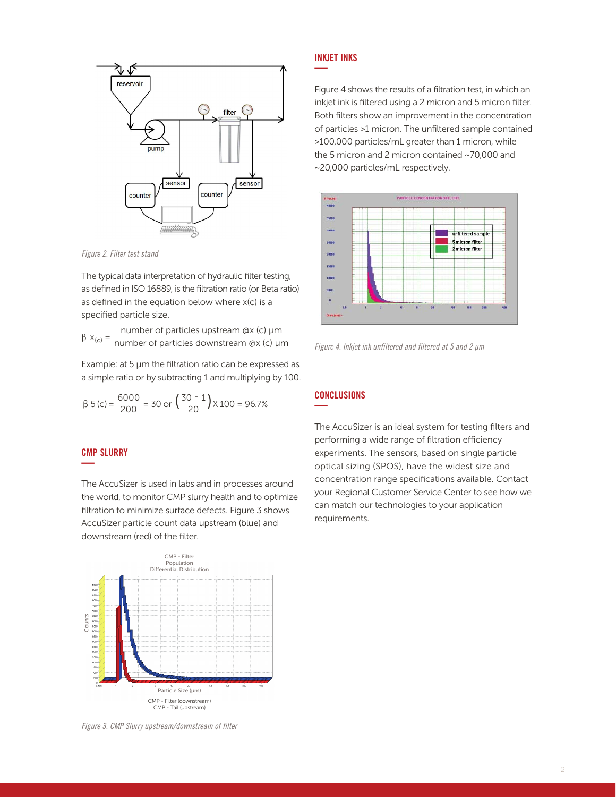

*Figure 2. Filter test stand*  $T$ . The typical data interpretation of  $\frac{1}{2}$ 

The typical data interpretation of hydraulic filter testing, as defined in ISO 16889, is the filtration ratio (or Beta ratio) as defined in ISO 16889, is the filtration ratio as defined in the equation below where x(c) is a specified particle size.  $p$  in eq. in 130  $\pm$ 

 $β x<sub>(c)</sub> =$  number of particles upstream  $Qx$  (c)  $µm$ <br>  $β x<sub>(c)</sub> =$  number of particles downstream  $Qx$  (c)  $µm$ 

Example: at 5 µm the filtration ratio can be expressed as a simple ratio or by subtracting 1 and multiplying by 100.

$$
\beta 5(c) = \frac{6000}{200} = 30 \text{ or } \left(\frac{30 - 1}{20}\right) \times 100 = 96.7\%
$$

#### CMP SLURRY **—**  $\texttt{SLURRY} \quad \texttt{C}\xspace = \texttt{C}\xspace - \texttt{C}\xspace - \texttt{C}\xspace - \texttt{C}\xspace - \texttt{C}\xspace - \texttt{C}\xspace - \texttt{C}\xspace - \texttt{C}\xspace - \texttt{C}\xspace - \texttt{C}\xspace - \texttt{C}\xspace - \texttt{C}\xspace - \texttt{C}\xspace - \texttt{C}\xspace - \texttt{C}\xspace - \texttt{C}\xspace - \texttt{C}\xspace - \texttt{C}\xspace - \texttt{C}\xspace - \texttt{C}\xspace - \texttt{C}\xspace - \texttt{C}\xspace - \text$

The AccuSizer is used in labs and in processes around the world, to monitor CMP slurry health and to optimize filtration to minimize surface defects. Figure 3 shows AccuSizer particle count data upstream (blue) and downstream (red) of the filter.



Figure 4 shows the results of a filtration test, in which an ingere instants are research of a macademics, in which an<br>inkjet ink is filtered using a 2 micron and 5 micron filter. Both filters show an improvement in the concentration of particles >1 micron. The unfiltered sample contained  $>$ 100,000 particles/mL greater than 1 micron, while the 5 micron and 2 micron contained  $\sim$ 70,000 and ~20,000 particles/mL respectively.  $B_0$  paradices  $\frac{1}{2}$  micron. The connected sample contains



Figure 4: Inkjet ink unfiltered and filtered at 5 and 2 μm *Figure 4. Inkjet ink unfiltered and filtered at 5 and 2 μm*

### $\overline{a}$ iments. The sensors based on single particle on single particle on single particle on single particle optical o **—**

range specifications available. Contact your local PSS The AccuSizer is an ideal system for testing filters and performing a wide range of filtration efficiency experiments. The sensors, based on single particle optical sizing (SPOS), have the widest size and concentration range specifications available. Contact your Regional Customer Service Center to see how we can match our technologies to your application requirements.



*Figure 3. CMP Slurry upstream/downstream of filter*